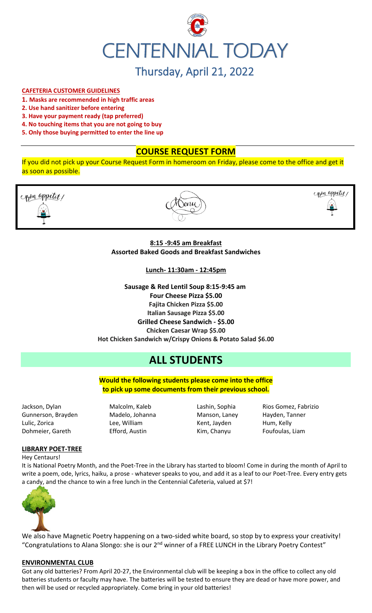

#### **CAFETERIA CUSTOMER GUIDELINES**

- **1. Masks are recommended in high traffic areas**
- **2. Use hand sanitizer before entering**
- **3. Have your payment ready (tap preferred)**
- **4. No touching items that you are not going to buy**
- **5. Only those buying permitted to enter the line up**

# **COURSE REQUEST FORM**

If you did not pick up your Course Request Form in homeroom on Friday, please come to the office and get it as soon as possible.



# **8:15 -9:45 am Breakfast Assorted Baked Goods and Breakfast Sandwiches**

**Lunch- 11:30am - 12:45pm**

**Sausage & Red Lentil Soup 8:15-9:45 am Four Cheese Pizza \$5.00 Fajita Chicken Pizza \$5.00 Italian Sausage Pizza \$5.00 Grilled Cheese Sandwich - \$5.00 Chicken Caesar Wrap \$5.00 Hot Chicken Sandwich w/Crispy Onions & Potato Salad \$6.00**

# **ALL STUDENTS**

**Would the following students please come into the office to pick up some documents from their previous school.**

Jackson, Dylan Malcolm, Kaleb Lashin, Sophia Rios Gomez, Fabrizio Gunnerson, Brayden Madelo, Johanna Manson, Laney Hayden, Tanner Lulic, Zorica **Market Elee, William** Kent, Jayden Hum, Kelly Dohmeier, Gareth Efford, Austin Kim, Chanyu Foufoulas, Liam

# **LIBRARY POET-TREE**

Hey Centaurs!

It is National Poetry Month, and the Poet-Tree in the Library has started to bloom! Come in during the month of April to write a poem, ode, lyrics, haiku, a prose - whatever speaks to you, and add it as a leaf to our Poet-Tree. Every entry gets a candy, and the chance to win a free lunch in the Centennial Cafeteria, valued at \$7!



We also have Magnetic Poetry happening on a two-sided white board, so stop by to express your creativity! "Congratulations to Alana Slongo: she is our 2<sup>nd</sup> winner of a FREE LUNCH in the Library Poetry Contest"

#### **ENVIRONMENTAL CLUB**

Got any old batteries? From April 20-27, the Environmental club will be keeping a box in the office to collect any old batteries students or faculty may have. The batteries will be tested to ensure they are dead or have more power, and then will be used or recycled appropriately. Come bring in your old batteries!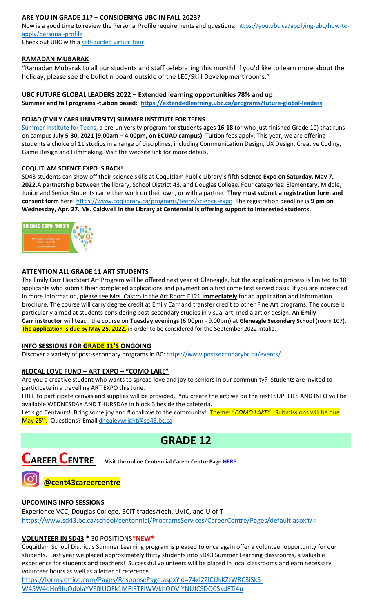# **ARE YOU IN GRADE 11? – CONSIDERING UBC IN FALL 2023?**

Now is a good time to review the Personal Profile requirements and questions: [https://you.ubc.ca/applying-ubc/how-to](https://you.ubc.ca/applying-ubc/how-to-apply/personal-profile)[apply/personal-profile](https://you.ubc.ca/applying-ubc/how-to-apply/personal-profile)

Check out UBC with a self-guided [virtual tour.](https://you.ubc.ca/tours-info-sessions/virtual-tour/)

# **RAMADAN MUBARAK**

"Ramadan Mubarak to all our students and staff celebrating this month! If you'd like to learn more about the holiday, please see the bulletin board outside of the LEC/Skill Development rooms."

# **UBC FUTURE GLOBAL LEADERS 2022 – Extended learning opportunities 78% and up**

**Summer and fall programs -tuition based: <https://extendedlearning.ubc.ca/programs/future-global-leaders>**

# **ECUAD (EMILY CARR UNIVERSITY) SUMMER INSTITUTE FOR TEENS**

[Summer Institute for Teens,](https://www.ecuad.ca/academics/teen-programs/summer-institute-for-teens) a pre-university program for **students ages 16-18** (or who just finished Grade 10) that runs on campus **July 5-30, 2021 (9.00am – 4.00pm, on ECUAD campus)**. Tuition fees apply. This year, we are offering students a choice of 11 studios in a range of disciplines, including Communication Design, UX Design, Creative Coding, Game Design and Filmmaking. Visit the website link for more details.

# **COQUITLAM SCIENCE EXPO IS BACK!**

SD43 students can show off their science skills at Coquitlam Public Library`s fifth **Science Expo on Saturday, May 7, 2022.**A partnership between the library, School District 43, and Douglas College. Four categories: Elementary, Middle, Junior and Senior Students can either work on their own, or with a partner. **They must submit a registration form and consent form** here:<https://www.coqlibrary.ca/programs/teens/science-expo> The registration deadline is **9 pm on Wednesday, Apr. 27. Ms. Caldwell in the Library at Centennial is offering support to interested students.**



# **ATTENTION ALL GRADE 11 ART STUDENTS**

The Emily Carr Headstart Art Program will be offered next year at Gleneagle, but the application process is limited to 18 applicants who submit their completed applications and payment on a first come first served basis. If you are interested in more information, please see Mrs. Castro in the Art Room E121 **Immediately** for an application and information brochure. The course will carry degree credit at Emily Carr and transfer credit to other Fine Art programs. The course is particularly aimed at students considering post-secondary studies in visual art, media art or design. An **Emily Carr instructor** will teach the course on **Tuesday evenings** (6.00pm - 9.00pm) at **Gleneagle Secondary School** (room 107). **The application is due by May 25, 2022,** in order to be considered for the September 2022 intake.

# **INFO SESSIONS FOR GRADE 11'S ONGOING**

Discover a variety of post-secondary programs in BC:<https://www.postsecondarybc.ca/events/>

# **#LOCAL LOVE FUND – ART EXPO – "COMO LAKE"**

Are you a creative student who wants to spread love and joy to seniors in our community? Students are invited to participate in a travelling ART EXPO this June.

FREE to participate canvas and supplies will be provided. You create the art; we do the rest! SUPPLIES AND INFO will be available WEDNESDAY AND THURSDAY in block 3 beside the cafeteria.

Let's go Centaurs! Bring some joy and #locallove to the community! Theme: "*COMO LAKE"*. Submissions will be due May 25<sup>th</sup>. Questions? Email <u>dhealeywright@sd43.bc.ca</u>

# **GRADE 12**



**CAREER CENTRE Visit the online Centennial Career Centre Page [HERE](https://www.sd43.bc.ca/school/centennial/ProgramsServices/CareerCentre/experiences/Pages/default.aspx#/=)**



# **@cent43careercentre**

# **UPCOMING INFO SESSIONS**

Experience VCC, Douglas College, BCIT trades/tech, UVIC, and U of T <https://www.sd43.bc.ca/school/centennial/ProgramsServices/CareerCentre/Pages/default.aspx#/=>

# **VOLUNTEER IN SD43** \* 30 POSITIONS**\*NEW\***

Coquitlam School District's Summer Learning program is pleased to once again offer a volunteer opportunity for our students. Last year we placed approximately thirty students into SD43 Summer Learning classrooms, a valuable experience for students and teachers! Successful volunteers will be placed in local classrooms and earn necessary volunteer hours as well as a letter of reference.

[https://forms.office.com/Pages/ResponsePage.aspx?id=74xl2ZICUkKZJWRC3iSkS-](https://forms.office.com/Pages/ResponsePage.aspx?id=74xl2ZICUkKZJWRC3iSkS-W45W4oHn9IuQdblaYVE0lUOFk1MFlRTFlWWkhOOVlYNUJCSDQ0SkdFTi4u)[W45W4oHn9IuQdblaYVE0lUOFk1MFlRTFlWWkhOOVlYNUJCSDQ0SkdFTi4u](https://forms.office.com/Pages/ResponsePage.aspx?id=74xl2ZICUkKZJWRC3iSkS-W45W4oHn9IuQdblaYVE0lUOFk1MFlRTFlWWkhOOVlYNUJCSDQ0SkdFTi4u)